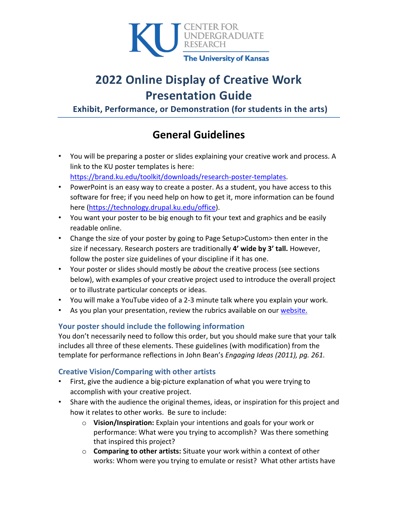

# **2022 Online Display of Creative Work Presentation Guide**

**Exhibit, Performance, or Demonstration (for students in the arts)**

# **General Guidelines**

- You will be preparing a poster or slides explaining your creative work and process. A link to the KU poster templates is here: [https://brand.ku.edu/toolkit/downloads/research-poster-templates.](https://brand.ku.edu/toolkit/downloads/research-poster-templates)
- PowerPoint is an easy way to create a poster. As a student, you have access to this software for free; if you need help on how to get it, more information can be found here [\(https://technology.drupal.ku.edu/office\)](https://technology.drupal.ku.edu/office).
- You want your poster to be big enough to fit your text and graphics and be easily readable online.
- Change the size of your poster by going to Page Setup>Custom> then enter in the size if necessary. Research posters are traditionally **4' wide by 3' tall.** However, follow the poster size guidelines of your discipline if it has one.
- Your poster or slides should mostly be *about* the creative process (see sections below), with examples of your creative project used to introduce the overall project or to illustrate particular concepts or ideas.
- You will make a YouTube video of a 2-3 minute talk where you explain your work.
- As you plan your presentation, review the rubrics available on our [website.](http://ugresearch.ku.edu/student/share/symposium#prepare)

# **Your poster should include the following information**

You don't necessarily need to follow this order, but you should make sure that your talk includes all three of these elements. These guidelines (with modification) from the template for performance reflections in John Bean's *Engaging Ideas (2011), pg. 261.*

# **Creative Vision/Comparing with other artists**

- First, give the audience a big-picture explanation of what you were trying to accomplish with your creative project.
- Share with the audience the original themes, ideas, or inspiration for this project and how it relates to other works. Be sure to include:
	- o **Vision/Inspiration:** Explain your intentions and goals for your work or performance: What were you trying to accomplish? Was there something that inspired this project?
	- o **Comparing to other artists:** Situate your work within a context of other works: Whom were you trying to emulate or resist? What other artists have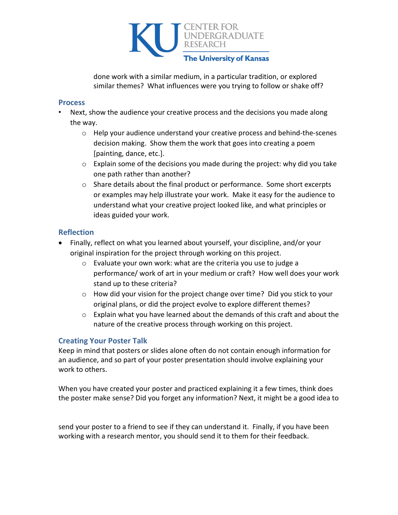

done work with a similar medium, in a particular tradition, or explored similar themes? What influences were you trying to follow or shake off?

#### **Process**

- Next, show the audience your creative process and the decisions you made along the way.
	- $\circ$  Help your audience understand your creative process and behind-the-scenes decision making. Show them the work that goes into creating a poem [painting, dance, etc.].
	- $\circ$  Explain some of the decisions you made during the project: why did you take one path rather than another?
	- o Share details about the final product or performance. Some short excerpts or examples may help illustrate your work. Make it easy for the audience to understand what your creative project looked like, and what principles or ideas guided your work.

#### **Reflection**

- Finally, reflect on what you learned about yourself, your discipline, and/or your original inspiration for the project through working on this project.
	- o Evaluate your own work: what are the criteria you use to judge a performance/ work of art in your medium or craft? How well does your work stand up to these criteria?
	- o How did your vision for the project change over time? Did you stick to your original plans, or did the project evolve to explore different themes?
	- o Explain what you have learned about the demands of this craft and about the nature of the creative process through working on this project.

#### **Creating Your Poster Talk**

Keep in mind that posters or slides alone often do not contain enough information for an audience, and so part of your poster presentation should involve explaining your work to others.

When you have created your poster and practiced explaining it a few times, think does the poster make sense? Did you forget any information? Next, it might be a good idea to

send your poster to a friend to see if they can understand it. Finally, if you have been working with a research mentor, you should send it to them for their feedback.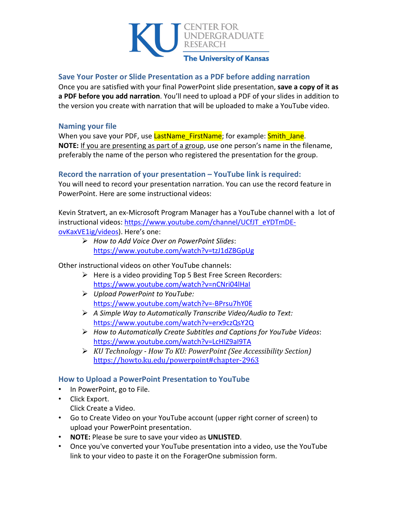

#### **Save Your Poster or Slide Presentation as a PDF before adding narration**

Once you are satisfied with your final PowerPoint slide presentation, **save a copy of it as a PDF before you add narration**. You'll need to upload a PDF of your slides in addition to the version you create with narration that will be uploaded to make a YouTube video.

#### **Naming your file**

When you save your PDF, use LastName FirstName; for example: Smith Jane. **NOTE:** If you are presenting as part of a group, use one person's name in the filename, preferably the name of the person who registered the presentation for the group.

#### **Record the narration of your presentation – YouTube link is required:**

You will need to record your presentation narration. You can use the record feature in PowerPoint. Here are some instructional videos:

Kevin Stratvert, an ex-Microsoft Program Manager has a YouTube channel with a lot of instructional videos: [https://www.youtube.com/channel/UCfJT\\_eYDTmDE](https://www.youtube.com/channel/UCfJT_eYDTmDE-ovKaxVE1ig/videos)[ovKaxVE1ig/videos\)](https://www.youtube.com/channel/UCfJT_eYDTmDE-ovKaxVE1ig/videos). Here's one:

 *How to Add Voice Over on PowerPoint Slides*: <https://www.youtube.com/watch?v=tzJ1dZBGpUg>

Other instructional videos on other YouTube channels:

- $\triangleright$  Here is a video providing Top 5 Best Free Screen Recorders: <https://www.youtube.com/watch?v=nCNri04lHaI>
- *Upload PowerPoint to YouTube:* <https://www.youtube.com/watch?v=-BPrsu7hY0E>
- *A Simple Way to Automatically Transcribe Video/Audio to Text:* <https://www.youtube.com/watch?v=erx9czQsY2Q>
- *How to Automatically Create Subtitles and Captions for YouTube Videos*: <https://www.youtube.com/watch?v=LcHIZ9aI9TA>
- *KU Technology - How To KU: PowerPoint (See Accessibility Section)* <https://howto.ku.edu/powerpoint#chapter-2963>

### **How to Upload a PowerPoint Presentation to YouTube**

- In PowerPoint, go to File.
- Click Export.
	- Click Create a Video.
- Go to Create Video on your YouTube account (upper right corner of screen) to upload your PowerPoint presentation.
- **NOTE:** Please be sure to save your video as **UNLISTED**.
- Once you've converted your YouTube presentation into a video, use the YouTube link to your video to paste it on the ForagerOne submission form.